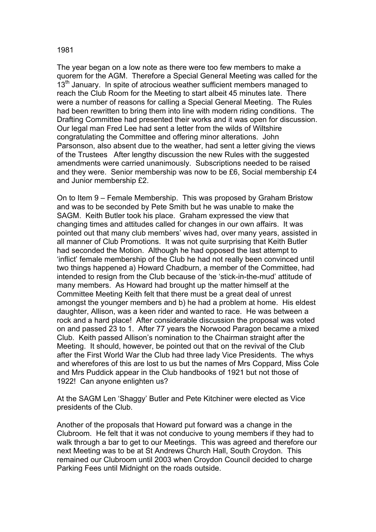The year began on a low note as there were too few members to make a quorem for the AGM. Therefore a Special General Meeting was called for the  $13<sup>th</sup>$  January. In spite of atrocious weather sufficient members managed to reach the Club Room for the Meeting to start albeit 45 minutes late. There were a number of reasons for calling a Special General Meeting. The Rules had been rewritten to bring them into line with modern riding conditions. The Drafting Committee had presented their works and it was open for discussion. Our legal man Fred Lee had sent a letter from the wilds of Wiltshire congratulating the Committee and offering minor alterations. John Parsonson, also absent due to the weather, had sent a letter giving the views of the Trustees After lengthy discussion the new Rules with the suggested amendments were carried unanimously. Subscriptions needed to be raised and they were. Senior membership was now to be £6, Social membership £4 and Junior membership £2.

On to Item 9 – Female Membership. This was proposed by Graham Bristow and was to be seconded by Pete Smith but he was unable to make the SAGM. Keith Butler took his place. Graham expressed the view that changing times and attitudes called for changes in our own affairs. It was pointed out that many club members' wives had, over many years, assisted in all manner of Club Promotions. It was not quite surprising that Keith Butler had seconded the Motion. Although he had opposed the last attempt to 'inflict' female membership of the Club he had not really been convinced until two things happened a) Howard Chadburn, a member of the Committee, had intended to resign from the Club because of the 'stick-in-the-mud' attitude of many members. As Howard had brought up the matter himself at the Committee Meeting Keith felt that there must be a great deal of unrest amongst the younger members and b) he had a problem at home. His eldest daughter, Allison, was a keen rider and wanted to race. He was between a rock and a hard place! After considerable discussion the proposal was voted on and passed 23 to 1. After 77 years the Norwood Paragon became a mixed Club. Keith passed Allison's nomination to the Chairman straight after the Meeting. It should, however, be pointed out that on the revival of the Club after the First World War the Club had three lady Vice Presidents. The whys and wherefores of this are lost to us but the names of Mrs Coppard, Miss Cole and Mrs Puddick appear in the Club handbooks of 1921 but not those of 1922! Can anyone enlighten us?

At the SAGM Len 'Shaggy' Butler and Pete Kitchiner were elected as Vice presidents of the Club.

Another of the proposals that Howard put forward was a change in the Clubroom. He felt that it was not conducive to young members if they had to walk through a bar to get to our Meetings. This was agreed and therefore our next Meeting was to be at St Andrews Church Hall, South Croydon. This remained our Clubroom until 2003 when Croydon Council decided to charge Parking Fees until Midnight on the roads outside.

1981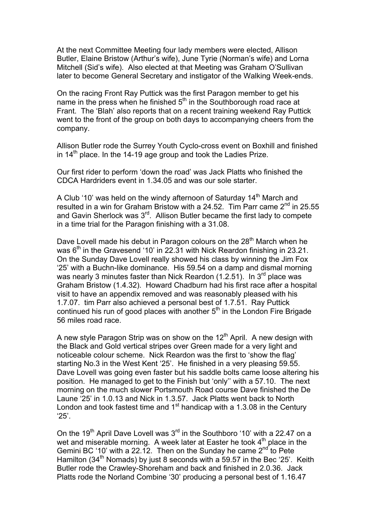At the next Committee Meeting four lady members were elected, Allison Butler, Elaine Bristow (Arthur's wife), June Tyrie (Norman's wife) and Lorna Mitchell (Sid's wife). Also elected at that Meeting was Graham O'Sullivan later to become General Secretary and instigator of the Walking Week-ends.

On the racing Front Ray Puttick was the first Paragon member to get his name in the press when he finished  $5<sup>th</sup>$  in the Southborough road race at Frant. The 'Blah' also reports that on a recent training weekend Ray Puttick went to the front of the group on both days to accompanying cheers from the company.

Allison Butler rode the Surrey Youth Cyclo-cross event on Boxhill and finished in  $14<sup>th</sup>$  place. In the 14-19 age group and took the Ladies Prize.

Our first rider to perform 'down the road' was Jack Platts who finished the CDCA Hardriders event in 1.34.05 and was our sole starter.

A Club '10' was held on the windy afternoon of Saturday 14<sup>th</sup> March and resulted in a win for Graham Bristow with a 24.52. Tim Parr came  $2^{nd}$  in 25.55 and Gavin Sherlock was 3<sup>rd</sup>. Allison Butler became the first lady to compete in a time trial for the Paragon finishing with a 31.08.

Dave Lovell made his debut in Paragon colours on the  $28<sup>th</sup>$  March when he was  $6<sup>th</sup>$  in the Gravesend '10' in 22.31 with Nick Reardon finishing in 23.21. On the Sunday Dave Lovell really showed his class by winning the Jim Fox '25' with a Buchn-like dominance. His 59.54 on a damp and dismal morning was nearly 3 minutes faster than Nick Reardon  $(1.2.51)$ . In 3<sup>rd</sup> place was Graham Bristow (1.4.32). Howard Chadburn had his first race after a hospital visit to have an appendix removed and was reasonably pleased with his 1.7.07. tim Parr also achieved a personal best of 1.7.51. Ray Puttick continued his run of good places with another  $5<sup>th</sup>$  in the London Fire Brigade 56 miles road race.

A new style Paragon Strip was on show on the  $12<sup>th</sup>$  April. A new design with the Black and Gold vertical stripes over Green made for a very light and noticeable colour scheme. Nick Reardon was the first to 'show the flag' starting No.3 in the West Kent '25'. He finished in a very pleasing 59.55. Dave Lovell was going even faster but his saddle bolts came loose altering his position. He managed to get to the Finish but 'only'' with a 57.10. The next morning on the much slower Portsmouth Road course Dave finished the De Laune '25' in 1.0.13 and Nick in 1.3.57. Jack Platts went back to North London and took fastest time and  $1<sup>st</sup>$  handicap with a 1.3.08 in the Century '25'.

On the 19<sup>th</sup> April Dave Lovell was  $3<sup>rd</sup>$  in the Southboro '10' with a 22.47 on a wet and miserable morning. A week later at Easter he took 4<sup>th</sup> place in the Gemini BC '10' with a 22.12. Then on the Sunday he came  $2^{nd}$  to Pete Hamilton (34<sup>th</sup> Nomads) by just 8 seconds with a 59.57 in the Bec '25'. Keith Butler rode the Crawley-Shoreham and back and finished in 2.0.36. Jack Platts rode the Norland Combine '30' producing a personal best of 1.16.47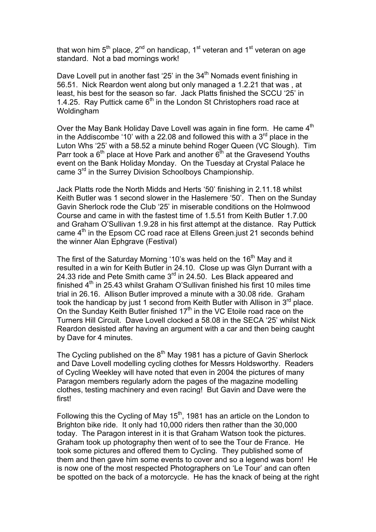that won him  $5<sup>th</sup>$  place,  $2<sup>nd</sup>$  on handicap, 1<sup>st</sup> veteran and 1<sup>st</sup> veteran on age standard. Not a bad mornings work!

Dave Lovell put in another fast '25' in the  $34<sup>th</sup>$  Nomads event finishing in 56.51. Nick Reardon went along but only managed a 1.2.21 that was , at least, his best for the season so far. Jack Platts finished the SCCU '25' in 1.4.25. Ray Puttick came  $6<sup>th</sup>$  in the London St Christophers road race at Woldingham

Over the May Bank Holiday Dave Lovell was again in fine form. He came 4<sup>th</sup> in the Addiscombe '10' with a 22.08 and followed this with a  $3<sup>rd</sup>$  place in the Luton Whs '25' with a 58.52 a minute behind Roger Queen (VC Slough). Tim Parr took a  $6<sup>th</sup>$  place at Hove Park and another  $6<sup>th</sup>$  at the Gravesend Youths event on the Bank Holiday Monday. On the Tuesday at Crystal Palace he came 3rd in the Surrey Division Schoolboys Championship.

Jack Platts rode the North Midds and Herts '50' finishing in 2.11.18 whilst Keith Butler was 1 second slower in the Haslemere '50'. Then on the Sunday Gavin Sherlock rode the Club '25' in miserable conditions on the Holmwood Course and came in with the fastest time of 1.5.51 from Keith Butler 1.7.00 and Graham O'Sullivan 1.9.28 in his first attempt at the distance. Ray Puttick came 4<sup>th</sup> in the Epsom CC road race at Ellens Green.just 21 seconds behind the winner Alan Ephgrave (Festival)

The first of the Saturday Morning '10's was held on the 16<sup>th</sup> May and it resulted in a win for Keith Butler in 24.10. Close up was Glyn Durrant with a 24.33 ride and Pete Smith came 3<sup>rd</sup> in 24.50. Les Black appeared and finished  $4<sup>th</sup>$  in 25.43 whilst Graham O'Sullivan finished his first 10 miles time trial in 26.16. Allison Butler improved a minute with a 30.08 ride. Graham took the handicap by just 1 second from Keith Butler with Allison in  $3<sup>rd</sup>$  place. On the Sunday Keith Butler finished  $17<sup>th</sup>$  in the VC Etoile road race on the Turners Hill Circuit. Dave Lovell clocked a 58.08 in the SECA '25' whilst Nick Reardon desisted after having an argument with a car and then being caught by Dave for 4 minutes.

The Cycling published on the  $8<sup>th</sup>$  May 1981 has a picture of Gavin Sherlock and Dave Lovell modelling cycling clothes for Messrs Holdsworthy. Readers of Cycling Weekley will have noted that even in 2004 the pictures of many Paragon members regularly adorn the pages of the magazine modelling clothes, testing machinery and even racing! But Gavin and Dave were the first!

Following this the Cycling of May  $15<sup>th</sup>$ , 1981 has an article on the London to Brighton bike ride. It only had 10,000 riders then rather than the 30,000 today. The Paragon interest in it is that Graham Watson took the pictures. Graham took up photography then went of to see the Tour de France. He took some pictures and offered them to Cycling. They published some of them and then gave him some events to cover and so a legend was born! He is now one of the most respected Photographers on 'Le Tour' and can often be spotted on the back of a motorcycle. He has the knack of being at the right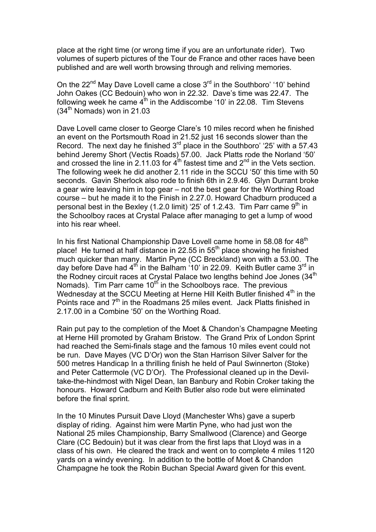place at the right time (or wrong time if you are an unfortunate rider). Two volumes of superb pictures of the Tour de France and other races have been published and are well worth browsing through and reliving memories.

On the  $22^{nd}$  May Dave Lovell came a close  $3^{rd}$  in the Southboro' '10' behind John Oakes (CC Bedouin) who won in 22.32. Dave's time was 22.47. The following week he came  $4<sup>th</sup>$  in the Addiscombe '10' in 22.08. Tim Stevens  $(34<sup>th</sup>$  Nomads) won in 21.03

Dave Lovell came closer to George Clare's 10 miles record when he finished an event on the Portsmouth Road in 21.52 just 16 seconds slower than the Record. The next day he finished  $3<sup>rd</sup>$  place in the Southboro' '25' with a 57.43 behind Jeremy Short (Vectis Roads) 57.00. Jack Platts rode the Norland '50' and crossed the line in 2.11.03 for  $4<sup>th</sup>$  fastest time and  $2<sup>nd</sup>$  in the Vets section. The following week he did another 2.11 ride in the SCCU '50' this time with 50 seconds. Gavin Sherlock also rode to finish 6th in 2.9.46. Glyn Durrant broke a gear wire leaving him in top gear – not the best gear for the Worthing Road course – but he made it to the Finish in 2.27.0. Howard Chadburn produced a personal best in the Bexley (1.2.0 limit) '25' of 1.2.43. Tim Parr came  $9<sup>th</sup>$  in the Schoolboy races at Crystal Palace after managing to get a lump of wood into his rear wheel.

In his first National Championship Dave Lovell came home in 58.08 for 48<sup>th</sup> place! He turned at half distance in 22.55 in  $55<sup>th</sup>$  place showing he finished much quicker than many. Martin Pyne (CC Breckland) won with a 53.00. The day before Dave had  $4<sup>th</sup>$  in the Balham '10' in 22.09. Keith Butler came 3<sup>rd</sup> in the Rodney circuit races at Crystal Palace two lengths behind Joe Jones  $(34<sup>th</sup>$ Nomads). Tim Parr came  $10<sup>th</sup>$  in the Schoolboys race. The previous Wednesday at the SCCU Meeting at Herne Hill Keith Butler finished 4<sup>th</sup> in the Points race and 7<sup>th</sup> in the Roadmans 25 miles event. Jack Platts finished in 2.17.00 in a Combine '50' on the Worthing Road.

Rain put pay to the completion of the Moet & Chandon's Champagne Meeting at Herne Hill promoted by Graham Bristow. The Grand Prix of London Sprint had reached the Semi-finals stage and the famous 10 miles event could not be run. Dave Mayes (VC D'Or) won the Stan Harrison Silver Salver for the 500 metres Handicap In a thrilling finish he held of Paul Swinnerton (Stoke) and Peter Cattermole (VC D'Or). The Professional cleaned up in the Deviltake-the-hindmost with Nigel Dean, Ian Banbury and Robin Croker taking the honours. Howard Cadburn and Keith Butler also rode but were eliminated before the final sprint.

In the 10 Minutes Pursuit Dave Lloyd (Manchester Whs) gave a superb display of riding. Against him were Martin Pyne, who had just won the National 25 miles Championship, Barry Smallwood (Clarence) and George Clare (CC Bedouin) but it was clear from the first laps that Lloyd was in a class of his own. He cleared the track and went on to complete 4 miles 1120 yards on a windy evening. In addition to the bottle of Moet & Chandon Champagne he took the Robin Buchan Special Award given for this event.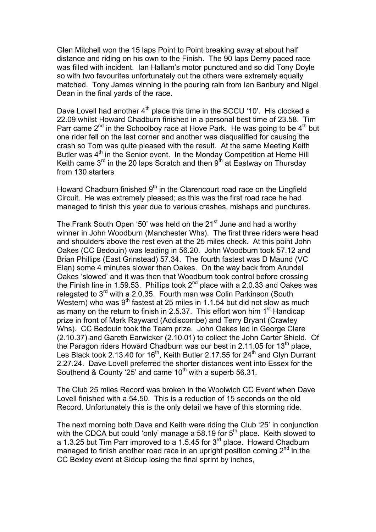Glen Mitchell won the 15 laps Point to Point breaking away at about half distance and riding on his own to the Finish. The 90 laps Derny paced race was filled with incident. Ian Hallam's motor punctured and so did Tony Doyle so with two favourites unfortunately out the others were extremely equally matched. Tony James winning in the pouring rain from Ian Banbury and Nigel Dean in the final yards of the race.

Dave Lovell had another  $4<sup>th</sup>$  place this time in the SCCU '10'. His clocked a 22.09 whilst Howard Chadburn finished in a personal best time of 23.58. Tim Parr came  $2^{nd}$  in the Schoolboy race at Hove Park. He was going to be  $4^{th}$  but one rider fell on the last corner and another was disqualified for causing the crash so Tom was quite pleased with the result. At the same Meeting Keith Butler was 4<sup>th</sup> in the Senior event. In the Monday Competition at Herne Hill Keith came  $3<sup>rd</sup>$  in the 20 laps Scratch and then  $9<sup>th</sup>$  at Eastway on Thursday from 130 starters

Howard Chadburn finished 9<sup>th</sup> in the Clarencourt road race on the Lingfield Circuit. He was extremely pleased; as this was the first road race he had managed to finish this year due to various crashes, mishaps and punctures.

The Frank South Open '50' was held on the 21<sup>st</sup> June and had a worthy winner in John Woodburn (Manchester Whs). The first three riders were head and shoulders above the rest even at the 25 miles check. At this point John Oakes (CC Bedouin) was leading in 56.20. John Woodburn took 57.12 and Brian Phillips (East Grinstead) 57.34. The fourth fastest was D Maund (VC Elan) some 4 minutes slower than Oakes. On the way back from Arundel Oakes 'slowed' and it was then that Woodburn took control before crossing the Finish line in 1.59.53. Phillips took  $2^{nd}$  place with a 2.0.33 and Oakes was relegated to  $3^{rd}$  with a 2.0.35. Fourth man was Colin Parkinson (South Western) who was 9<sup>th</sup> fastest at 25 miles in 1.1.54 but did not slow as much as many on the return to finish in 2.5.37. This effort won him  $1<sup>st</sup>$  Handicap prize in front of Mark Rayward (Addiscombe) and Terry Bryant (Crawley Whs). CC Bedouin took the Team prize. John Oakes led in George Clare (2.10.37) and Gareth Earwicker (2.10.01) to collect the John Carter Shield. Of the Paragon riders Howard Chadburn was our best in 2.11.05 for 13<sup>th</sup> place, Les Black took 2.13.40 for 16<sup>th</sup>, Keith Butler 2.17.55 for 24<sup>th</sup> and Glyn Durrant 2.27.24. Dave Lovell preferred the shorter distances went into Essex for the Southend & County '25' and came  $10^{th}$  with a superb 56.31.

The Club 25 miles Record was broken in the Woolwich CC Event when Dave Lovell finished with a 54.50. This is a reduction of 15 seconds on the old Record. Unfortunately this is the only detail we have of this storming ride.

The next morning both Dave and Keith were riding the Club '25' in conjunction with the CDCA but could 'only' manage a 58.19 for  $5<sup>th</sup>$  place. Keith slowed to a 1.3.25 but Tim Parr improved to a 1.5.45 for  $3^{rd}$  place. Howard Chadburn managed to finish another road race in an upright position coming  $2<sup>nd</sup>$  in the CC Bexley event at Sidcup losing the final sprint by inches,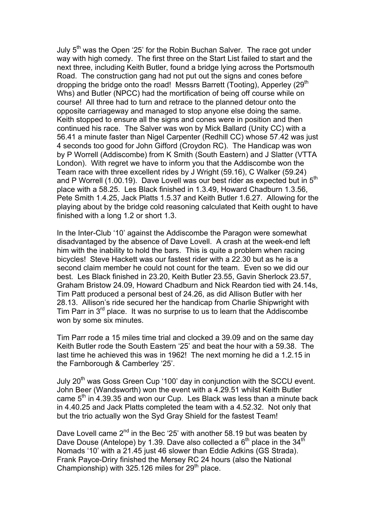July 5<sup>th</sup> was the Open '25' for the Robin Buchan Salver. The race got under way with high comedy. The first three on the Start List failed to start and the next three, including Keith Butler, found a bridge lying across the Portsmouth Road. The construction gang had not put out the signs and cones before dropping the bridge onto the road! Messrs Barrett (Tooting), Apperley (29<sup>th</sup> Whs) and Butler (NPCC) had the mortification of being off course while on course! All three had to turn and retrace to the planned detour onto the opposite carriageway and managed to stop anyone else doing the same. Keith stopped to ensure all the signs and cones were in position and then continued his race. The Salver was won by Mick Ballard (Unity CC) with a 56.41 a minute faster than Nigel Carpenter (Redhill CC) whose 57.42 was just 4 seconds too good for John Gifford (Croydon RC). The Handicap was won by P Worrell (Addiscombe) from K Smith (South Eastern) and J Slatter (VTTA London). With regret we have to inform you that the Addiscombe won the Team race with three excellent rides by J Wright (59.16), C Walker (59.24) and P Worrell (1.00.19). Dave Lovell was our best rider as expected but in 5<sup>th</sup> place with a 58.25. Les Black finished in 1.3.49, Howard Chadburn 1.3.56, Pete Smith 1.4.25, Jack Platts 1.5.37 and Keith Butler 1.6.27. Allowing for the playing about by the bridge cold reasoning calculated that Keith ought to have finished with a long 1.2 or short 1.3.

In the Inter-Club '10' against the Addiscombe the Paragon were somewhat disadvantaged by the absence of Dave Lovell. A crash at the week-end left him with the inability to hold the bars. This is quite a problem when racing bicycles! Steve Hackett was our fastest rider with a 22.30 but as he is a second claim member he could not count for the team. Even so we did our best. Les Black finished in 23.20, Keith Butler 23.55, Gavin Sherlock 23.57, Graham Bristow 24.09, Howard Chadburn and Nick Reardon tied with 24.14s, Tim Patt produced a personal best of 24.26, as did Allison Butler with her 28.13. Allison's ride secured her the handicap from Charlie Shipwright with Tim Parr in  $3^{rd}$  place. It was no surprise to us to learn that the Addiscombe won by some six minutes.

Tim Parr rode a 15 miles time trial and clocked a 39.09 and on the same day Keith Butler rode the South Eastern '25' and beat the hour with a 59.38. The last time he achieved this was in 1962! The next morning he did a 1.2.15 in the Farnborough & Camberley '25'.

July 20<sup>th</sup> was Goss Green Cup '100' day in conjunction with the SCCU event. John Beer (Wandsworth) won the event with a 4.29.51 whilst Keith Butler came  $5<sup>th</sup>$  in 4.39.35 and won our Cup. Les Black was less than a minute back in 4.40.25 and Jack Platts completed the team with a 4.52.32. Not only that but the trio actually won the Syd Gray Shield for the fastest Team!

Dave Lovell came  $2^{nd}$  in the Bec '25' with another 58.19 but was beaten by Dave Douse (Antelope) by 1.39. Dave also collected a  $6<sup>th</sup>$  place in the 34<sup>th</sup> Nomads '10' with a 21.45 just 46 slower than Eddie Adkins (GS Strada). Frank Payce-Driry finished the Mersey RC 24 hours (also the National Championship) with  $325.126$  miles for  $29<sup>th</sup>$  place.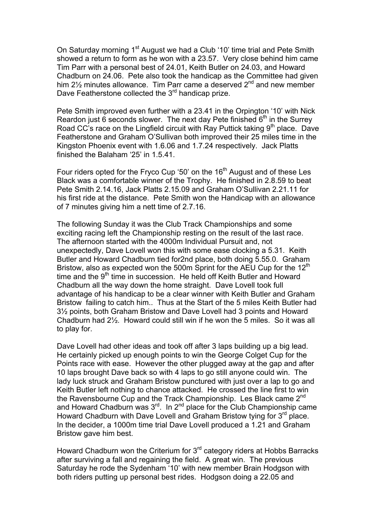On Saturday morning 1<sup>st</sup> August we had a Club '10' time trial and Pete Smith showed a return to form as he won with a 23.57. Very close behind him came Tim Parr with a personal best of 24.01, Keith Butler on 24.03, and Howard Chadburn on 24.06. Pete also took the handicap as the Committee had given him  $2\frac{1}{2}$  minutes allowance. Tim Parr came a deserved  $2^{nd}$  and new member Dave Featherstone collected the 3<sup>rd</sup> handicap prize.

Pete Smith improved even further with a 23.41 in the Orpington '10' with Nick Reardon just 6 seconds slower. The next day Pete finished  $6<sup>th</sup>$  in the Surrey Road CC's race on the Lingfield circuit with Ray Puttick taking  $9<sup>th</sup>$  place. Dave Featherstone and Graham O'Sullivan both improved their 25 miles time in the Kingston Phoenix event with 1.6.06 and 1.7.24 respectively. Jack Platts finished the Balaham '25' in 1.5.41.

Four riders opted for the Fryco Cup '50' on the 16<sup>th</sup> August and of these Les Black was a comfortable winner of the Trophy. He finished in 2.8.59 to beat Pete Smith 2.14.16, Jack Platts 2.15.09 and Graham O'Sullivan 2.21.11 for his first ride at the distance. Pete Smith won the Handicap with an allowance of 7 minutes giving him a nett time of 2.7.16.

The following Sunday it was the Club Track Championships and some exciting racing left the Championship resting on the result of the last race. The afternoon started with the 4000m Individual Pursuit and, not unexpectedly, Dave Lovell won this with some ease clocking a 5.31. Keith Butler and Howard Chadburn tied for2nd place, both doing 5.55.0. Graham Bristow, also as expected won the 500m Sprint for the AEU Cup for the 12<sup>th</sup> time and the  $9<sup>th</sup>$  time in succession. He held off Keith Butler and Howard Chadburn all the way down the home straight. Dave Lovell took full advantage of his handicap to be a clear winner with Keith Butler and Graham Bristow failing to catch him.. Thus at the Start of the 5 miles Keith Butler had 3½ points, both Graham Bristow and Dave Lovell had 3 points and Howard Chadburn had 2½. Howard could still win if he won the 5 miles. So it was all to play for.

Dave Lovell had other ideas and took off after 3 laps building up a big lead. He certainly picked up enough points to win the George Colget Cup for the Points race with ease. However the other plugged away at the gap and after 10 laps brought Dave back so with 4 laps to go still anyone could win. The lady luck struck and Graham Bristow punctured with just over a lap to go and Keith Butler left nothing to chance attacked. He crossed the line first to win the Ravensbourne Cup and the Track Championship. Les Black came 2<sup>nd</sup> and Howard Chadburn was  $3<sup>rd</sup>$ . In  $2<sup>nd</sup>$  place for the Club Championship came Howard Chadburn with Dave Lovell and Graham Bristow tying for 3<sup>rd</sup> place. In the decider, a 1000m time trial Dave Lovell produced a 1.21 and Graham Bristow gave him best.

Howard Chadburn won the Criterium for  $3<sup>rd</sup>$  category riders at Hobbs Barracks after surviving a fall and regaining the field. A great win. The previous Saturday he rode the Sydenham '10' with new member Brain Hodgson with both riders putting up personal best rides. Hodgson doing a 22.05 and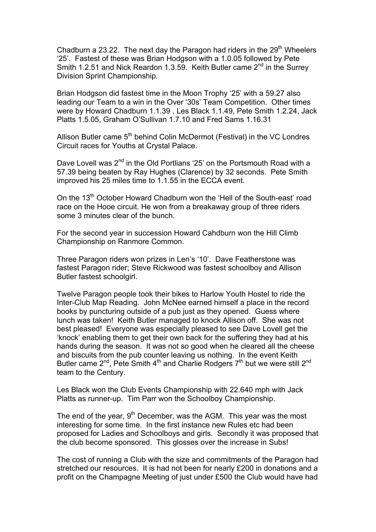Chadburn a 23.22. The next day the Paragon had riders in the 29<sup>th</sup> Wheelers '25'. Fastest of these was Brian Hodgson with a 1.0.05 followed by Pete Smith 1.2.51 and Nick Reardon 1.3.59. Keith Butler came 2<sup>nd</sup> in the Surrey Division Sprint Championship.

Brian Hodgson did fastest time in the Moon Trophy '25' with a 59.27 also leading our Team to a win in the Over '30s' Team Competition. Other times were by Howard Chadburn 1.1.39 , Les Black 1.1.49, Pete Smith 1.2.24, Jack Platts 1.5.05, Graham O'Sullivan 1.7.10 and Fred Sams 1.16.31

Allison Butler came 5<sup>th</sup> behind Colin McDermot (Festival) in the VC Londres Circuit races for Youths at Crystal Palace.

Dave Lovell was 2<sup>nd</sup> in the Old Portlians '25' on the Portsmouth Road with a 57.39 being beaten by Ray Hughes (Clarence) by 32 seconds. Pete Smith improved his 25 miles time to 1.1.55 in the ECCA event.

On the 13<sup>th</sup> October Howard Chadburn won the 'Hell of the South-east' road race on the Hooe circuit. He won from a breakaway group of three riders some 3 minutes clear of the bunch.

For the second year in succession Howard Cahdburn won the Hill Climb Championship on Ranmore Common.

Three Paragon riders won prizes in Len's '10'. Dave Featherstone was fastest Paragon rider; Steve Rickwood was fastest schoolboy and Allison Butler fastest schoolgirl.

Twelve Paragon people took their bikes to Harlow Youth Hostel to ride the Inter-Club Map Reading. John McNee earned himself a place in the record books by puncturing outside of a pub just as they opened. Guess where lunch was taken! Keith Butler managed to knock Allison off. She was not best pleased! Everyone was especially pleased to see Dave Lovell get the 'knock' enabling them to get their own back for the suffering they had at his hands during the season. It was not so good when he cleared all the cheese and biscuits from the pub counter leaving us nothing. In the event Keith Butler came  $2^{nd}$ . Pete Smith  $4^{th}$  and Charlie Rodgers  $7^{th}$  but we were still  $2^{nd}$ team to the Century.

Les Black won the Club Events Championship with 22.640 mph with Jack Platts as runner-up. Tim Parr won the Schoolboy Championship.

The end of the year,  $9<sup>th</sup>$  December, was the AGM. This year was the most interesting for some time. In the first instance new Rules etc had been proposed for Ladies and Schoolboys and girls. Secondly it was proposed that the club become sponsored. This glosses over the increase in Subs!

The cost of running a Club with the size and commitments of the Paragon had stretched our resources. It is had not been for nearly £200 in donations and a profit on the Champagne Meeting of just under £500 the Club would have had